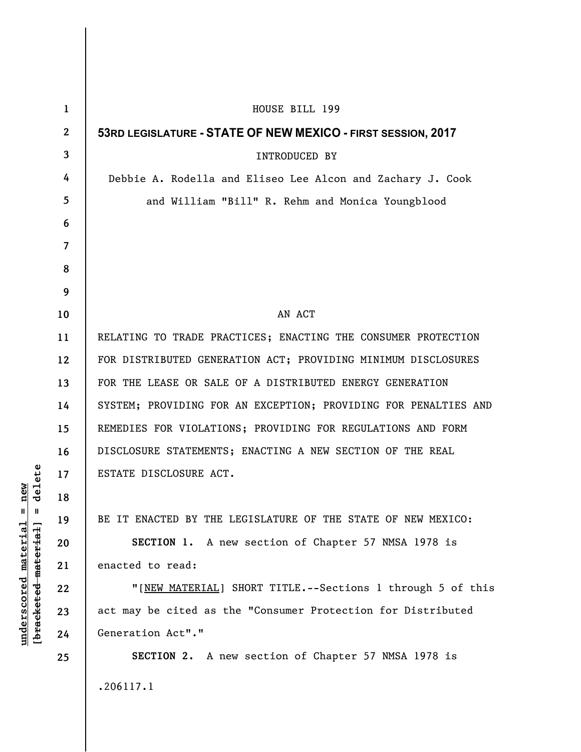| $\mathbf{1}$ | HOUSE BILL 199                                                  |
|--------------|-----------------------------------------------------------------|
| $\mathbf 2$  | 53RD LEGISLATURE - STATE OF NEW MEXICO - FIRST SESSION, 2017    |
| 3            | <b>INTRODUCED BY</b>                                            |
| 4            | Debbie A. Rodella and Eliseo Lee Alcon and Zachary J. Cook      |
| 5            | and William "Bill" R. Rehm and Monica Youngblood                |
| 6            |                                                                 |
| 7            |                                                                 |
| 8            |                                                                 |
| 9            |                                                                 |
| 10           | AN ACT                                                          |
| 11           | RELATING TO TRADE PRACTICES; ENACTING THE CONSUMER PROTECTION   |
| 12           | FOR DISTRIBUTED GENERATION ACT; PROVIDING MINIMUM DISCLOSURES   |
| 13           | FOR THE LEASE OR SALE OF A DISTRIBUTED ENERGY GENERATION        |
| 14           | SYSTEM; PROVIDING FOR AN EXCEPTION; PROVIDING FOR PENALTIES AND |
| 15           | REMEDIES FOR VIOLATIONS; PROVIDING FOR REGULATIONS AND FORM     |
| 16           | DISCLOSURE STATEMENTS; ENACTING A NEW SECTION OF THE REAL       |
| 17           | ESTATE DISCLOSURE ACT.                                          |
| 18           |                                                                 |
| 19           | BE IT ENACTED BY THE LEGISLATURE OF THE STATE OF NEW MEXICO:    |
| 20           | SECTION 1. A new section of Chapter 57 NMSA 1978 is             |
| 21           | enacted to read:                                                |
| 22           | "[NEW MATERIAL] SHORT TITLE.--Sections 1 through 5 of this      |
| 23           | act may be cited as the "Consumer Protection for Distributed    |
| 24           | Generation Act"."                                               |
| 25           | SECTION 2. A new section of Chapter 57 NMSA 1978 is             |
|              | .206117.1                                                       |
|              |                                                                 |

 $[bracketeed-materiat] = delete$ **[bracketed material] = delete**  $underscored material = new$ **underscored material = new**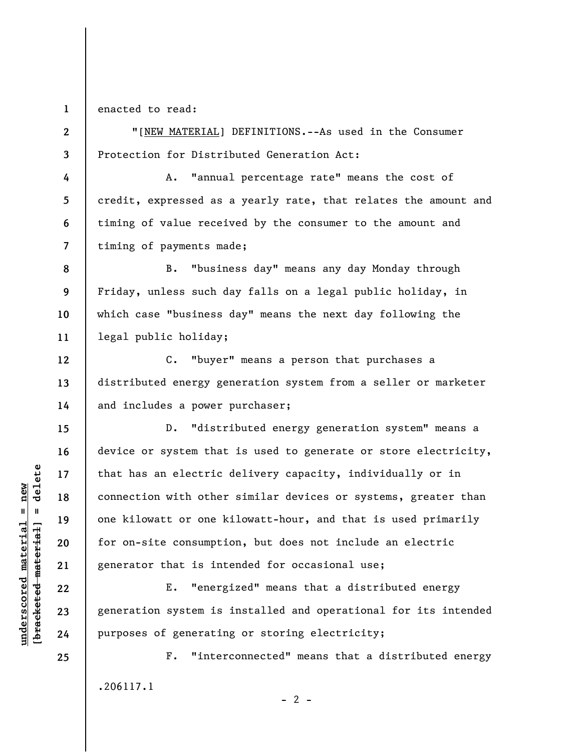**1**  enacted to read:

**4** 

**5** 

**6** 

**7** 

**12** 

**13** 

**14** 

**15** 

**16** 

**17** 

**18** 

**19** 

**20** 

**21** 

**22** 

**23** 

**24** 

**2 3**  "[NEW MATERIAL] DEFINITIONS.--As used in the Consumer Protection for Distributed Generation Act:

A. "annual percentage rate" means the cost of credit, expressed as a yearly rate, that relates the amount and timing of value received by the consumer to the amount and timing of payments made;

**8 9 10 11**  B. "business day" means any day Monday through Friday, unless such day falls on a legal public holiday, in which case "business day" means the next day following the legal public holiday;

C. "buyer" means a person that purchases a distributed energy generation system from a seller or marketer and includes a power purchaser;

D. "distributed energy generation system" means a device or system that is used to generate or store electricity, that has an electric delivery capacity, individually or in connection with other similar devices or systems, greater than one kilowatt or one kilowatt-hour, and that is used primarily for on-site consumption, but does not include an electric generator that is intended for occasional use;

E. "energized" means that a distributed energy generation system is installed and operational for its intended purposes of generating or storing electricity;

F. "interconnected" means that a distributed energy .206117.1

 $- 2 -$ 

 $\frac{1}{2}$  intereted material = delete **[bracketed material] = delete**  $underscored material = new$ **underscored material = new**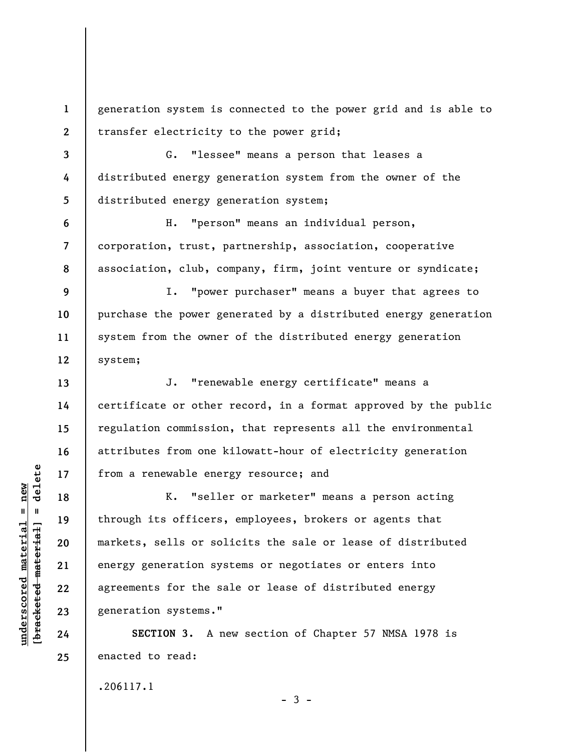**1 2**  generation system is connected to the power grid and is able to transfer electricity to the power grid;

**3 4 5**  G. "lessee" means a person that leases a distributed energy generation system from the owner of the distributed energy generation system;

**6 7 8**  H. "person" means an individual person, corporation, trust, partnership, association, cooperative association, club, company, firm, joint venture or syndicate;

**12**  I. "power purchaser" means a buyer that agrees to purchase the power generated by a distributed energy generation system from the owner of the distributed energy generation system;

J. "renewable energy certificate" means a certificate or other record, in a format approved by the public regulation commission, that represents all the environmental attributes from one kilowatt-hour of electricity generation from a renewable energy resource; and

K. "seller or marketer" means a person acting through its officers, employees, brokers or agents that markets, sells or solicits the sale or lease of distributed energy generation systems or negotiates or enters into agreements for the sale or lease of distributed energy generation systems."

**SECTION 3.** A new section of Chapter 57 NMSA 1978 is enacted to read:

.206117.1

 $\frac{1}{2}$  intereted material = delete **[bracketed material] = delete**  $underscored material = new$ **underscored material = new**

**9** 

**10** 

**11** 

**13** 

**14** 

**15** 

**16** 

**17** 

**18** 

**19** 

**20** 

**21** 

**22** 

**23** 

**24** 

**25** 

 $-3 -$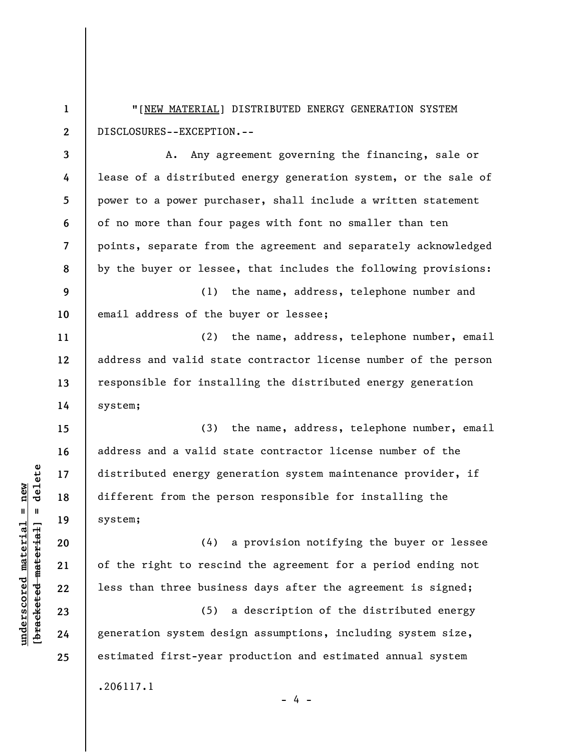**1 2**  "[NEW MATERIAL] DISTRIBUTED ENERGY GENERATION SYSTEM DISCLOSURES--EXCEPTION.--

**3 4 5 6 7 8**  A. Any agreement governing the financing, sale or lease of a distributed energy generation system, or the sale of power to a power purchaser, shall include a written statement of no more than four pages with font no smaller than ten points, separate from the agreement and separately acknowledged by the buyer or lessee, that includes the following provisions:

**9 10**  (1) the name, address, telephone number and email address of the buyer or lessee;

(2) the name, address, telephone number, email address and valid state contractor license number of the person responsible for installing the distributed energy generation system;

(3) the name, address, telephone number, email address and a valid state contractor license number of the distributed energy generation system maintenance provider, if different from the person responsible for installing the system;

(4) a provision notifying the buyer or lessee of the right to rescind the agreement for a period ending not less than three business days after the agreement is signed;

(5) a description of the distributed energy generation system design assumptions, including system size, estimated first-year production and estimated annual system .206117.1

 $\frac{1}{2}$  of  $\frac{1}{2}$  and  $\frac{1}{2}$  and  $\frac{1}{2}$  and  $\frac{1}{2}$  and  $\frac{1}{2}$  and  $\frac{1}{2}$  and  $\frac{1}{2}$  and  $\frac{1}{2}$  and  $\frac{1}{2}$  and  $\frac{1}{2}$  and  $\frac{1}{2}$  and  $\frac{1}{2}$  and  $\frac{1}{2}$  and  $\frac{1}{2}$  and  $\frac{1}{2}$  an **[bracketed material] = delete**  $underscored material = new$ **underscored material = new**

**11** 

**12** 

**13** 

**14** 

**15** 

**16** 

**17** 

**18** 

**19** 

**20** 

**21** 

**22** 

**23** 

**24** 

- 4 -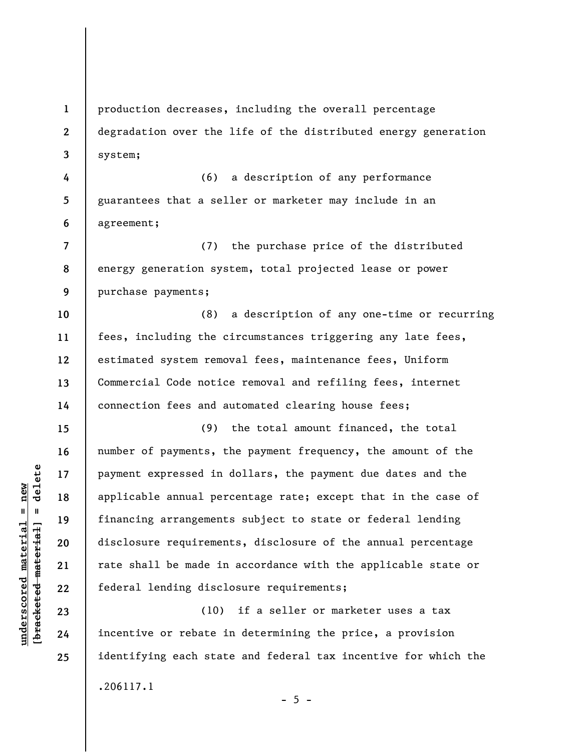**1 2 3**  production decreases, including the overall percentage degradation over the life of the distributed energy generation system;

**4 5 6**  (6) a description of any performance guarantees that a seller or marketer may include in an agreement;

**7 8 9**  (7) the purchase price of the distributed energy generation system, total projected lease or power purchase payments;

**10 11 12 13 14**  (8) a description of any one-time or recurring fees, including the circumstances triggering any late fees, estimated system removal fees, maintenance fees, Uniform Commercial Code notice removal and refiling fees, internet connection fees and automated clearing house fees;

(9) the total amount financed, the total number of payments, the payment frequency, the amount of the payment expressed in dollars, the payment due dates and the applicable annual percentage rate; except that in the case of financing arrangements subject to state or federal lending disclosure requirements, disclosure of the annual percentage rate shall be made in accordance with the applicable state or federal lending disclosure requirements;

(10) if a seller or marketer uses a tax incentive or rebate in determining the price, a provision identifying each state and federal tax incentive for which the .206117.1

**15** 

**16** 

**17** 

**18** 

**19** 

**20** 

**21** 

**22** 

**23** 

**24** 

**25** 

 $- 5 -$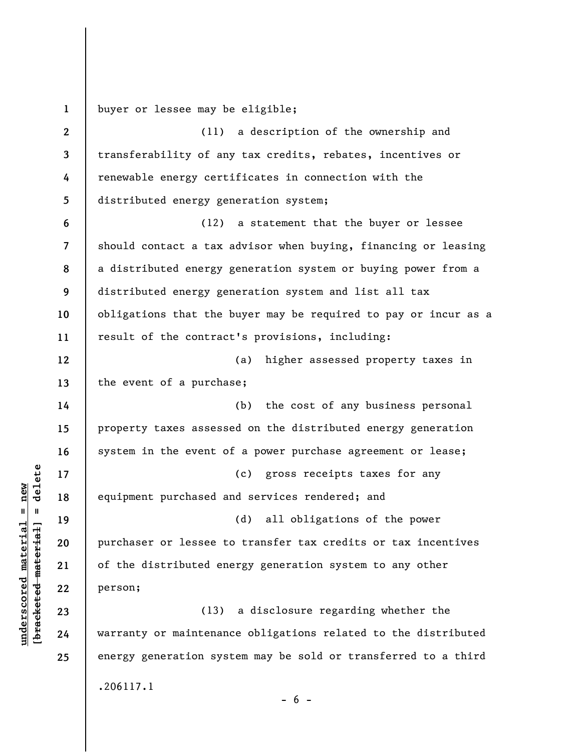**1**  buyer or lessee may be eligible;

**2 3 4 5 6 7 8 9 10 11 12 13 14 15 16 17 18 19 20 21 22 23 24 25**  (11) a description of the ownership and transferability of any tax credits, rebates, incentives or renewable energy certificates in connection with the distributed energy generation system; (12) a statement that the buyer or lessee should contact a tax advisor when buying, financing or leasing a distributed energy generation system or buying power from a distributed energy generation system and list all tax obligations that the buyer may be required to pay or incur as a result of the contract's provisions, including: (a) higher assessed property taxes in the event of a purchase; (b) the cost of any business personal property taxes assessed on the distributed energy generation system in the event of a power purchase agreement or lease; (c) gross receipts taxes for any equipment purchased and services rendered; and (d) all obligations of the power purchaser or lessee to transfer tax credits or tax incentives of the distributed energy generation system to any other person; (13) a disclosure regarding whether the warranty or maintenance obligations related to the distributed energy generation system may be sold or transferred to a third .206117.1

 $\frac{1}{2}$  intereted material = delete **[bracketed material] = delete**  $underscored material = new$ **underscored material = new**

 $- 6 -$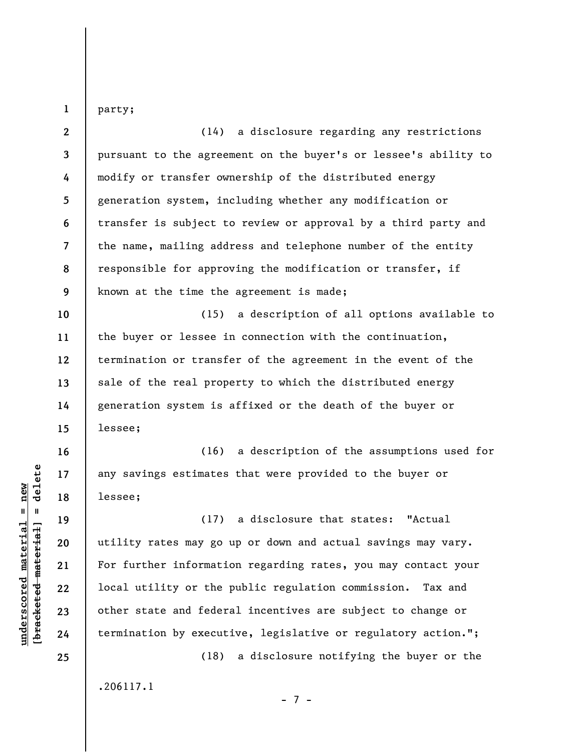party;

**1** 

**2 3 4 5 6 7 8 9 10 11 12 13 14**  (14) a disclosure regarding any restrictions pursuant to the agreement on the buyer's or lessee's ability to modify or transfer ownership of the distributed energy generation system, including whether any modification or transfer is subject to review or approval by a third party and the name, mailing address and telephone number of the entity responsible for approving the modification or transfer, if known at the time the agreement is made; (15) a description of all options available to the buyer or lessee in connection with the continuation, termination or transfer of the agreement in the event of the sale of the real property to which the distributed energy generation system is affixed or the death of the buyer or

(16) a description of the assumptions used for any savings estimates that were provided to the buyer or lessee;

(17) a disclosure that states: "Actual utility rates may go up or down and actual savings may vary. For further information regarding rates, you may contact your local utility or the public regulation commission. Tax and other state and federal incentives are subject to change or termination by executive, legislative or regulatory action.";

- 7 -

(18) a disclosure notifying the buyer or the

.206117.1

 $\frac{1}{2}$  intereted material = delete **[bracketed material] = delete**  $underscored material = new$ **underscored material = new**

**15** 

lessee;

**16** 

**17** 

**18** 

**19** 

**20** 

**21** 

**22** 

**23** 

**24**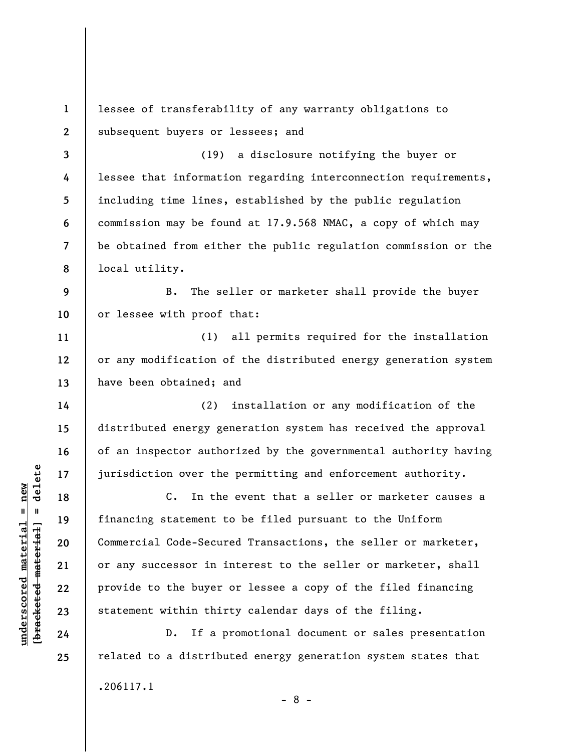**1 2 3 4 5 6 7 8 9 10 11 12 13 14 15 16 17 18 19 20 21 22 23 24 25**  lessee of transferability of any warranty obligations to subsequent buyers or lessees; and (19) a disclosure notifying the buyer or lessee that information regarding interconnection requirements, including time lines, established by the public regulation commission may be found at 17.9.568 NMAC, a copy of which may be obtained from either the public regulation commission or the local utility. B. The seller or marketer shall provide the buyer or lessee with proof that: (1) all permits required for the installation or any modification of the distributed energy generation system have been obtained; and (2) installation or any modification of the distributed energy generation system has received the approval of an inspector authorized by the governmental authority having jurisdiction over the permitting and enforcement authority. C. In the event that a seller or marketer causes a financing statement to be filed pursuant to the Uniform Commercial Code-Secured Transactions, the seller or marketer, or any successor in interest to the seller or marketer, shall provide to the buyer or lessee a copy of the filed financing statement within thirty calendar days of the filing. D. If a promotional document or sales presentation related to a distributed energy generation system states that

- 8 -

.206117.1

**underscored material = new [bracketed material] = delete**

 $\frac{1}{2}$  intereted material = delete  $underscored material = new$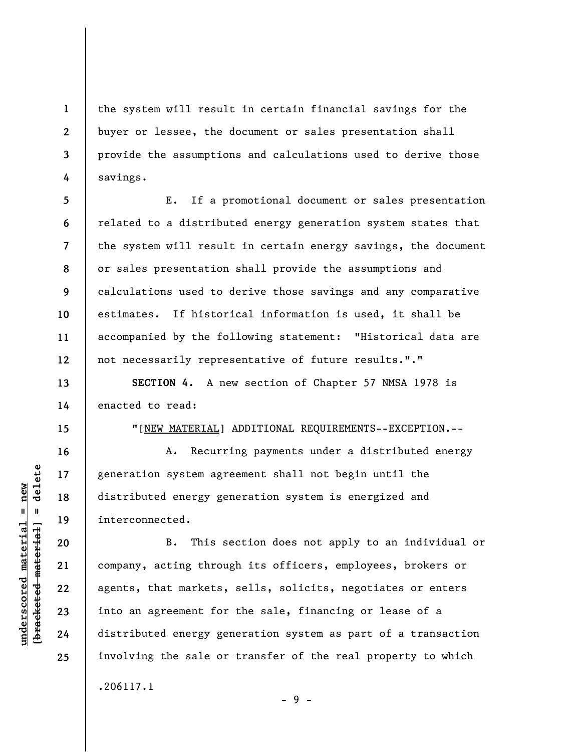the system will result in certain financial savings for the buyer or lessee, the document or sales presentation shall provide the assumptions and calculations used to derive those savings.

**5 6 7 8 9 10 11 12**  E. If a promotional document or sales presentation related to a distributed energy generation system states that the system will result in certain energy savings, the document or sales presentation shall provide the assumptions and calculations used to derive those savings and any comparative estimates. If historical information is used, it shall be accompanied by the following statement: "Historical data are not necessarily representative of future results."."

**SECTION 4.** A new section of Chapter 57 NMSA 1978 is enacted to read:

"[NEW MATERIAL] ADDITIONAL REQUIREMENTS--EXCEPTION.--

A. Recurring payments under a distributed energy generation system agreement shall not begin until the distributed energy generation system is energized and interconnected.

B. This section does not apply to an individual or company, acting through its officers, employees, brokers or agents, that markets, sells, solicits, negotiates or enters into an agreement for the sale, financing or lease of a distributed energy generation system as part of a transaction involving the sale or transfer of the real property to which .206117.1

- 9 -

 $b$ racketed material] = delete **[bracketed material] = delete**  $underscored material = new$ **underscored material = new**

**1** 

**2** 

**3** 

**4** 

**13** 

**14** 

**15** 

**16** 

**17** 

**18** 

**19** 

**20** 

**21** 

**22** 

**23** 

**24**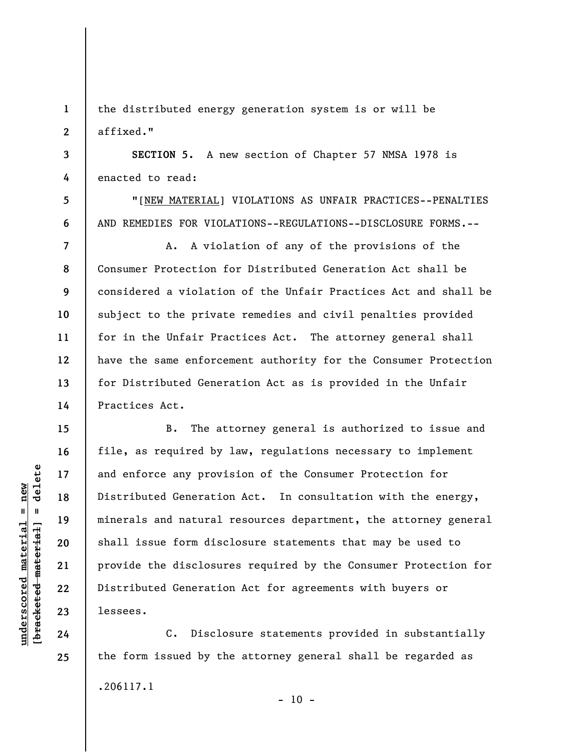**1 2**  the distributed energy generation system is or will be affixed."

**3 4 SECTION 5.** A new section of Chapter 57 NMSA 1978 is enacted to read:

"[NEW MATERIAL] VIOLATIONS AS UNFAIR PRACTICES--PENALTIES AND REMEDIES FOR VIOLATIONS--REGULATIONS--DISCLOSURE FORMS.--

A. A violation of any of the provisions of the Consumer Protection for Distributed Generation Act shall be considered a violation of the Unfair Practices Act and shall be subject to the private remedies and civil penalties provided for in the Unfair Practices Act. The attorney general shall have the same enforcement authority for the Consumer Protection for Distributed Generation Act as is provided in the Unfair Practices Act.

B. The attorney general is authorized to issue and file, as required by law, regulations necessary to implement and enforce any provision of the Consumer Protection for Distributed Generation Act. In consultation with the energy, minerals and natural resources department, the attorney general shall issue form disclosure statements that may be used to provide the disclosures required by the Consumer Protection for Distributed Generation Act for agreements with buyers or lessees.

C. Disclosure statements provided in substantially the form issued by the attorney general shall be regarded as .206117.1  $- 10 -$ 

 $\frac{1}{2}$  intereted material = delete **[bracketed material] = delete**  $underscored material = new$ **underscored material = new**

**5** 

**6** 

**7** 

**8** 

**9** 

**10** 

**11** 

**12** 

**13** 

**14** 

**15** 

**16** 

**17** 

**18** 

**19** 

**20** 

**21** 

**22** 

**23** 

**24**